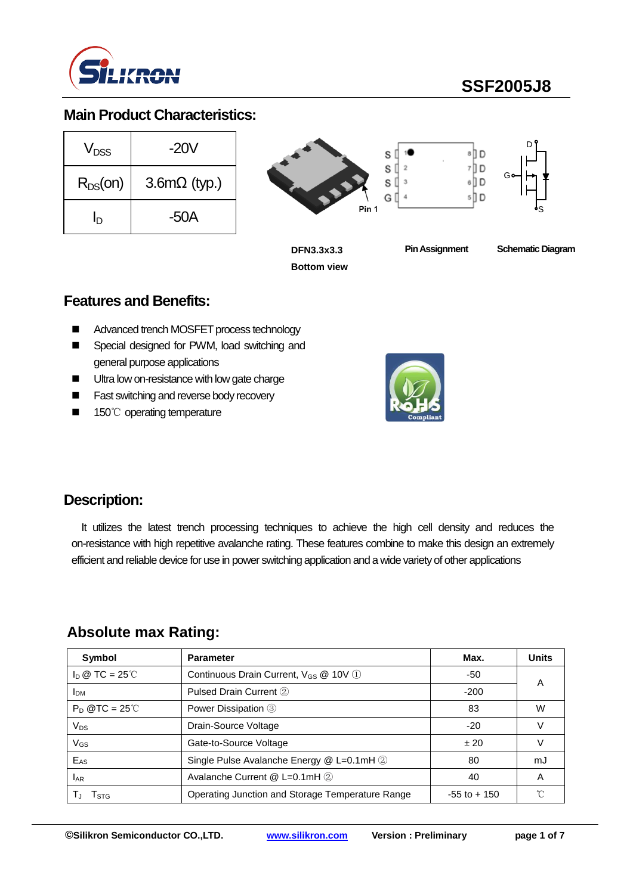

#### **Main Product Characteristics:**

| $V_{DSS}$    | -20V                |
|--------------|---------------------|
| $R_{DS}(on)$ | $3.6m\Omega$ (typ.) |
| In           | -50A                |





**Pin Assignment Schematic Diagram**

#### **Features and Benefits:**

- Advanced trench MOSFET process technology
- Special designed for PWM, load switching and general purpose applications
- Ultra low on-resistance with low gate charge
- **Fast switching and reverse body recovery**
- 150℃ operating temperature



#### **Description:**

It utilizes the latest trench processing techniques to achieve the high cell density and reduces the on-resistance with high repetitive avalanche rating. These features combine to make this design an extremely efficient and reliable device for use in power switching application and a wide variety of other applications

#### **Absolute max Rating:**

| Symbol                         | <b>Parameter</b>                                  | Max.            | <b>Units</b> |
|--------------------------------|---------------------------------------------------|-----------------|--------------|
| $I_D \otimes TC = 25^{\circ}C$ | Continuous Drain Current, V <sub>GS</sub> @ 10V 1 | -50             |              |
| I <sub>DM</sub>                | Pulsed Drain Current 2                            | $-200$          | A            |
| $P_D$ @TC = 25°C               | Power Dissipation 3                               | 83              | W            |
| $V_{DS}$                       | Drain-Source Voltage                              | $-20$           |              |
| V <sub>GS</sub>                | Gate-to-Source Voltage                            | ±20             |              |
| $E_{AS}$                       | Single Pulse Avalanche Energy @ L=0.1mH 2         | 80              | mJ           |
| <b>LAR</b>                     | Avalanche Current @ L=0.1mH 2                     | 40              | Α            |
| I STG                          | Operating Junction and Storage Temperature Range  | $-55$ to $+150$ | $\sim$       |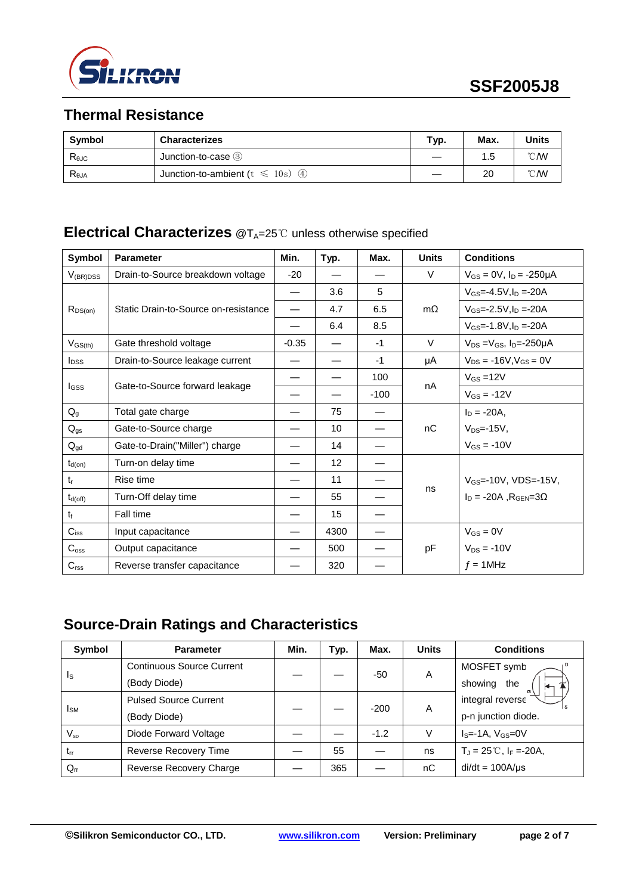

## **Thermal Resistance**

| Symbol          | <b>Characterizes</b>                    | Typ. | Max. | <b>Units</b>   |
|-----------------|-----------------------------------------|------|------|----------------|
| $R_{\theta$ JC  | Junction-to-case 3                      |      | 1.5  | $^{\circ}$ C/W |
| $R_{\theta JA}$ | Junction-to-ambient ( $t \le 10$ s) (4) |      | 20   | $^{\circ}$ CMV |

## **Electrical Characterizes** @T<sub>A</sub>=25℃ unless otherwise specified

| <b>Symbol</b>            | <b>Parameter</b>                     | Min.    | Typ. | Max.   | <b>Units</b> | <b>Conditions</b>                             |  |
|--------------------------|--------------------------------------|---------|------|--------|--------------|-----------------------------------------------|--|
| $V_{(BR)DSS}$            | Drain-to-Source breakdown voltage    | $-20$   |      |        | $\vee$       | $V_{GS} = 0V$ , $I_D = -250\mu A$             |  |
|                          | Static Drain-to-Source on-resistance | —       | 3.6  | 5      |              | $V$ <sub>GS</sub> =-4.5V.I <sub>D</sub> =-20A |  |
| $R_{DS(on)}$             |                                      |         | 4.7  | 6.5    | $m\Omega$    | $V_{GS} = -2.5V I_D = -20A$                   |  |
|                          |                                      |         | 6.4  | 8.5    |              | $V_{GS} = -1.8 V \cdot \ln = -20A$            |  |
| $V_{GS(th)}$             | Gate threshold voltage               | $-0.35$ |      | $-1$   | $\vee$       | $V_{DS} = V_{GS}$ , $I_{D} = -250 \mu A$      |  |
| $I_{DSS}$                | Drain-to-Source leakage current      |         |      | $-1$   | μA           | $V_{DS} = -16V$ , $V_{GS} = 0V$               |  |
| <b>I</b> GSS             | Gate-to-Source forward leakage       |         |      | 100    | nA           | $V_{GS} = 12V$                                |  |
|                          |                                      |         |      | $-100$ |              | $V_{GS} = -12V$                               |  |
| $Q_{q}$                  | Total gate charge                    |         | 75   |        |              | $I_D = -20A$ ,                                |  |
| $\mathsf{Q}_{\text{gs}}$ | Gate-to-Source charge                |         | 10   |        | nC           | $V_{DS} = -15V$ ,                             |  |
| $Q_{gd}$                 | Gate-to-Drain("Miller") charge       |         | 14   |        |              | $V_{GS} = -10V$                               |  |
| $t_{d(on)}$              | Turn-on delay time                   |         | 12   |        |              |                                               |  |
| $t_{r}$                  | Rise time                            |         | 11   |        |              | $V_{GS}$ =-10V, VDS=-15V,                     |  |
| $t_{d(\text{off})}$      | Turn-Off delay time                  |         | 55   |        | ns           | $I_D = -20A$ , $R_{GEN} = 3\Omega$            |  |
| $t_{\rm f}$              | Fall time                            |         | 15   |        |              |                                               |  |
| $C_{\text{iss}}$         | Input capacitance                    |         | 4300 |        |              | $V_{GS} = 0V$                                 |  |
| $C_{\rm oss}$            | Output capacitance                   |         | 500  |        | pF           | $V_{DS} = -10V$                               |  |
| C <sub>rss</sub>         | Reverse transfer capacitance         |         | 320  |        |              | $f = 1$ MHz                                   |  |

# **Source-Drain Ratings and Characteristics**

| <b>Symbol</b> | <b>Parameter</b>                 | Min. | Typ. | Max.   | <b>Units</b> | <b>Conditions</b>                    |
|---------------|----------------------------------|------|------|--------|--------------|--------------------------------------|
| Is            | <b>Continuous Source Current</b> |      |      | -50    | A            | MOSFET symb                          |
|               | (Body Diode)                     |      |      |        |              | showing<br>the                       |
| <b>I</b> sm   | <b>Pulsed Source Current</b>     |      |      | $-200$ | A            | integral reverse                     |
|               | (Body Diode)                     |      |      |        |              | p-n junction diode.                  |
| $V_{SD}$      | Diode Forward Voltage            |      |      | $-1.2$ | V            | $IS=-1A$ , $VGS=0V$                  |
| $t_{rr}$      | Reverse Recovery Time            |      | 55   |        | ns           | $T_J = 25^{\circ}C$ , $I_F = -20A$ , |
| $Q_{rr}$      | Reverse Recovery Charge          |      | 365  |        | nC           | $di/dt = 100A/\mu s$                 |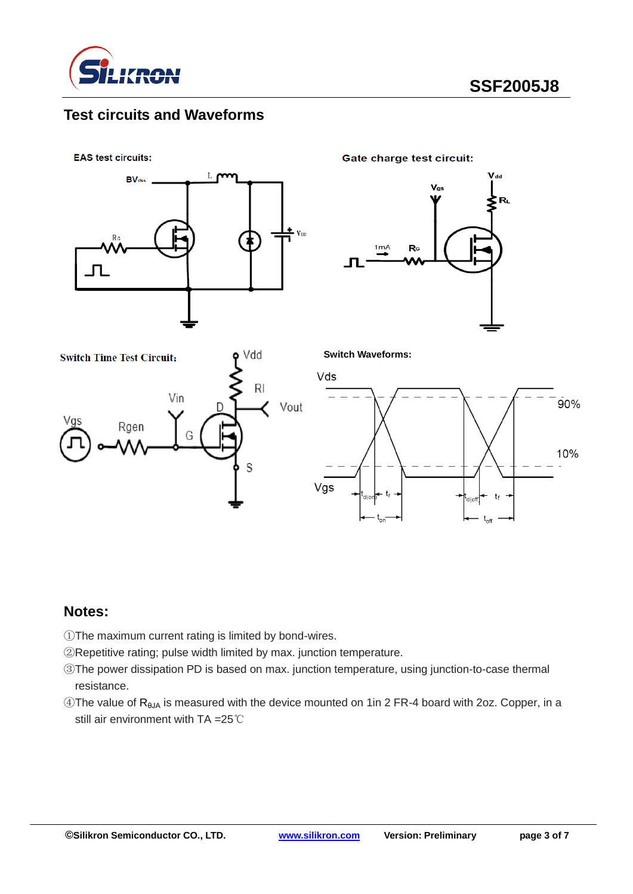

### **Test circuits and Waveforms**

**EAS test circuits:** 



**Gate charge test circuit:** 

**Switch Waveforms:**







#### **Notes:**

- ①The maximum current rating is limited by bond-wires.
- ②Repetitive rating; pulse width limited by max. junction temperature.
- ③The power dissipation PD is based on max. junction temperature, using junction-to-case thermal resistance.
- ④The value of RθJA is measured with the device mounted on 1in 2 FR-4 board with 2oz. Copper, in a still air environment with TA =25℃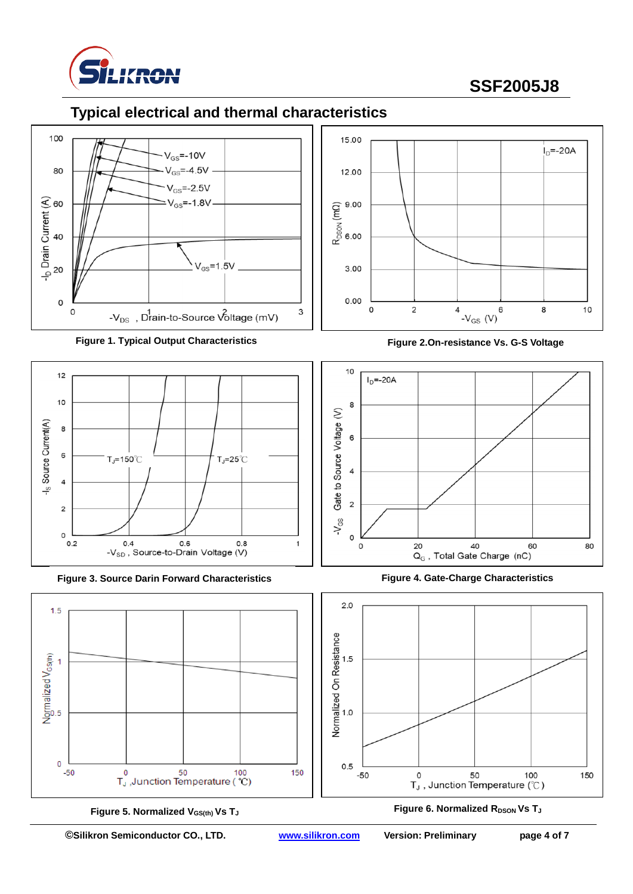

### **Typical electrical and thermal characteristics**







**Figure 3. Source Darin Forward Characteristics Figure 4. Gate-Charge Characteristics**



**Figure 5. Normalized VGS(th) Vs T<sup>J</sup>**



**Figure 2.On-resistance Vs. G-S Voltage**





**Figure 6. Normalized RDSON Vs TJ**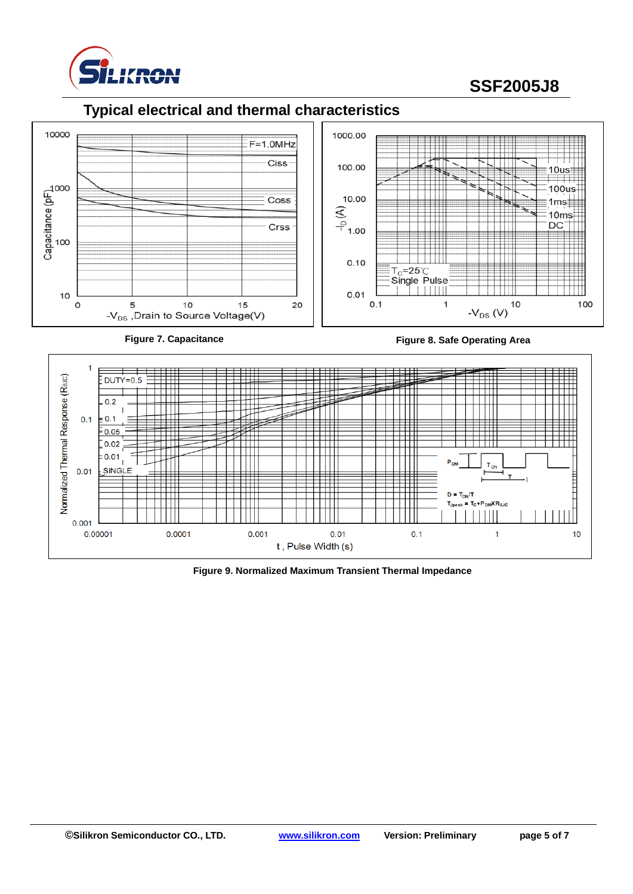

## **Typical electrical and thermal characteristics**



**Figure 7. Capacitance Figure 8. Safe Operating Area**



**Figure 9. Normalized Maximum Transient Thermal Impedance**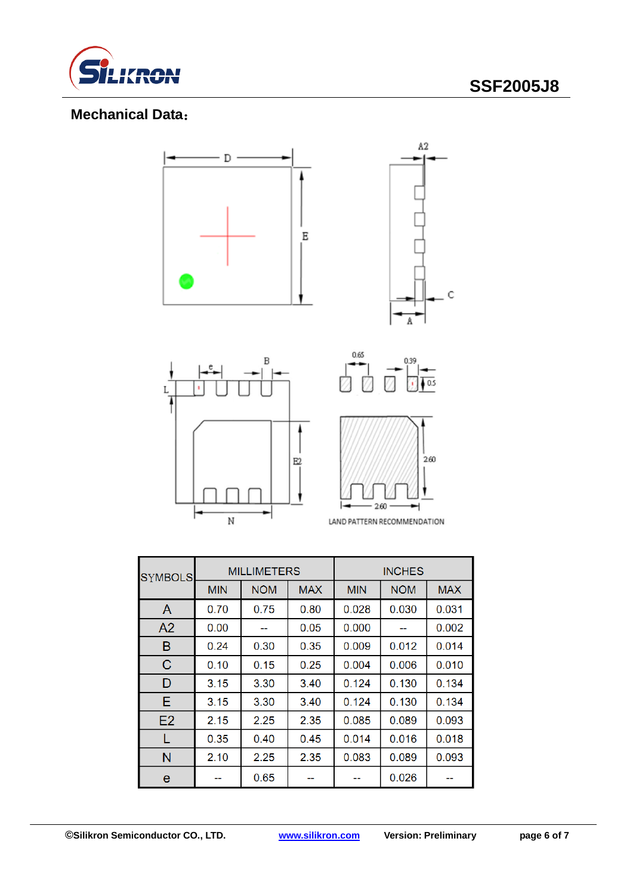

C

### **Mechanical Data**:



| <b>SYMBOLS</b> |            | <b>MILLIMETERS</b>       |      | <b>INCHES</b> |            |            |
|----------------|------------|--------------------------|------|---------------|------------|------------|
|                | <b>MIN</b> | <b>NOM</b><br><b>MAX</b> |      | <b>MIN</b>    | <b>NOM</b> | <b>MAX</b> |
| A              | 0.70       | 0.75                     | 0.80 | 0.028         | 0.030      | 0.031      |
| A <sub>2</sub> | 0.00       | --                       | 0.05 | 0.000         |            | 0.002      |
| В              | 0.24       | 0.30                     | 0.35 | 0.009         | 0.012      | 0.014      |
| C              | 0.10       | 0.15                     | 0.25 | 0.004         | 0.006      | 0.010      |
| D              | 3.15       | 3.30                     | 3.40 | 0.124         | 0.130      | 0.134      |
| Е              | 3.15       | 3.30                     | 3.40 | 0.124         | 0.130      | 0.134      |
| E2             | 2.15       | 2.25                     | 2.35 | 0.085         | 0.089      | 0.093      |
|                | 0.35       | 0.40                     | 0.45 | 0.014         | 0.016      | 0.018      |
| N              | 2.10       | 2.25                     | 2.35 | 0.083         | 0.089      | 0.093      |
| e              |            | 0.65                     |      |               | 0.026      |            |